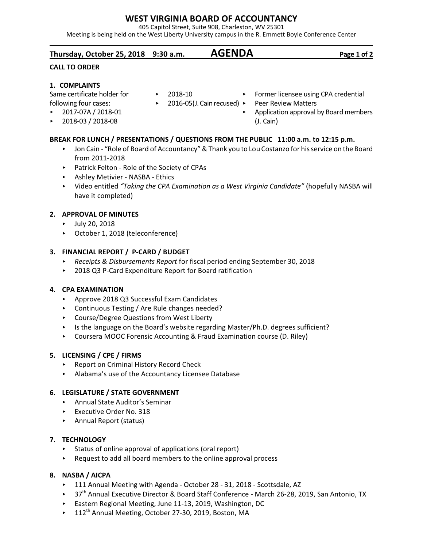# **WEST VIRGINIA BOARD OF ACCOUNTANCY**

405 Capitol Street, Suite 908, Charleston, WV 25301

Meeting is being held on the West Liberty University campus in the R. Emmett Boyle Conference Center

# **Thursday, October 25, 2018 9:30 a.m. AGENDA Page 1 of 2**

### **CALL TO ORDER**

## **1. COMPLAINTS**

Same certificate holder for following four cases:

- < 2017-07A / 2018-01
- < 2018-03 / 2018-08

# **BREAK FOR LUNCH / PRESENTATIONS / QUESTIONS FROM THE PUBLIC 11:00 a.m. to 12:15 p.m.**

- ► Jon Cain "Role of Board of Accountancy" & Thank you to Lou Costanzo for his service on the Board from 2011-2018
- ▶ Patrick Felton Role of the Society of CPAs
- < Ashley Metivier NASBA Ethics
- < Video entitled *"Taking the CPA Examination as a West Virginia Candidate"* (hopefully NASBA will have it completed)

# **2. APPROVAL OF MINUTES**

- $\blacktriangleright$  July 20, 2018
- ▶ October 1, 2018 (teleconference)

## **3. FINANCIAL REPORT / P-CARD / BUDGET**

- < *Receipts & Disbursements Report* for fiscal period ending September 30, 2018
- ▶ 2018 Q3 P-Card Expenditure Report for Board ratification

### **4. CPA EXAMINATION**

- ▶ Approve 2018 Q3 Successful Exam Candidates
- ▶ Continuous Testing / Are Rule changes needed?
- ▶ Course/Degree Questions from West Liberty
- ▶ Is the language on the Board's website regarding Master/Ph.D. degrees sufficient?
- ► Coursera MOOC Forensic Accounting & Fraud Examination course (D. Riley)

### **5. LICENSING / CPE / FIRMS**

- ▶ Report on Criminal History Record Check
- < Alabama's use of the Accountancy Licensee Database

### **6. LEGISLATURE / STATE GOVERNMENT**

- < Annual State Auditor's Seminar
- ▶ Executive Order No. 318
- < Annual Report (status)

# **7. TECHNOLOGY**

- $\triangleright$  Status of online approval of applications (oral report)
- $\triangleright$  Request to add all board members to the online approval process

# **8. NASBA / AICPA**

- < 111 Annual Meeting with Agenda October 28 31, 2018 Scottsdale, AZ
- ▶ 37<sup>th</sup> Annual Executive Director & Board Staff Conference March 26-28, 2019, San Antonio, TX
- ▶ Eastern Regional Meeting, June 11-13, 2019, Washington, DC
- $\blacktriangleright$  112<sup>th</sup> Annual Meeting, October 27-30, 2019, Boston, MA
- **FILT** Former licensee using CPA credential
- ▶ 2016-05(J. Cain recused) ▶ Peer Review Matters
	- Application approval by Board members (J. Cain)

 $\blacktriangleright$  2018-10

- 
- 
- 
-